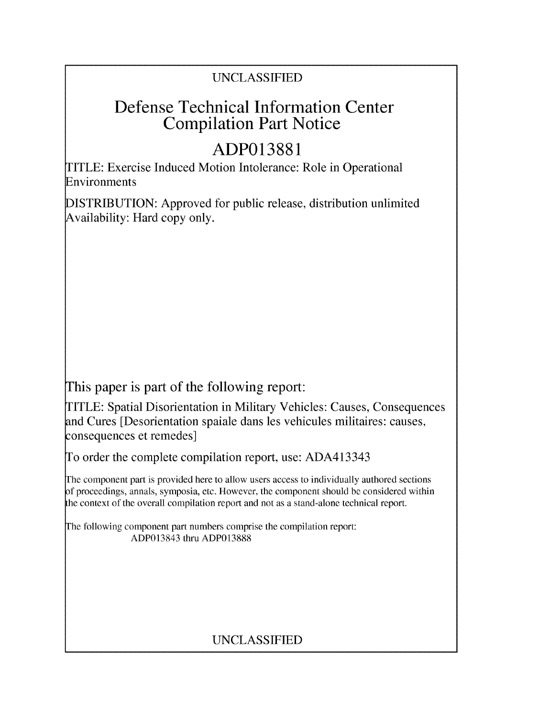## UNCLASSIFIED

## Defense Technical Information Center Compilation Part Notice

# **ADP013881**

TITLE: Exercise Induced Motion Intolerance: Role in Operational Environments

DISTRIBUTION: Approved for public release, distribution unlimited Availability: Hard copy only.

This paper is part of the following report:

TITLE: Spatial Disorientation in Military Vehicles: Causes, Consequences and Cures [Desorientation spaiale dans les vehicules militaires: causes, consequences et remedes]

To order the complete compilation report, use: ADA413343

The component part is provided here to allow users access to individually authored sections **)f** proceedings, annals, symposia, etc. However, the component should be considered within [he context of the overall compilation report and not as a stand-alone technical report.

The following component part numbers comprise the compilation report: ADP013843 thru ADP013888

## UNCLASSIFIED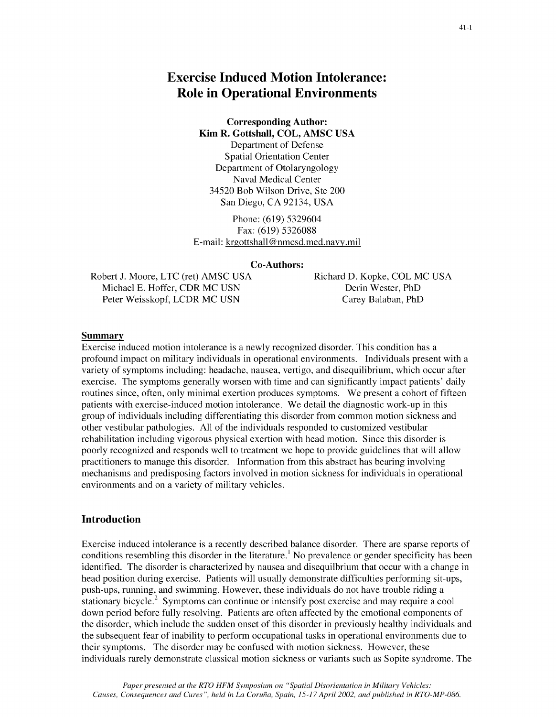## Exercise Induced Motion Intolerance: Role in Operational Environments

### Corresponding Author: Kim R. Gottshall, **COL, AMSC USA**

Department of Defense Spatial Orientation Center Department of Otolaryngology Naval Medical Center 34520 Bob Wilson Drive, Ste 200 San Diego, CA 92134, USA

Phone: (619) 5329604 Fax: (619) 5326088 E-mail: krgottshall @nmcsd.med.navy.mil

#### Co-Authors:

Robert J. Moore, LTC (ret) AMSC USA Richard D. Kopke, COL MC USA Michael E. Hoffer, CDR MC USN Derin Wester, PhD Peter Weisskopf, LCDR MC USN Carey Balaban, PhD

#### Summary

Exercise induced motion intolerance is a newly recognized disorder. This condition has a profound impact on military individuals in operational environments. Individuals present with a variety of symptoms including: headache, nausea, vertigo, and disequilibrium, which occur after exercise. The symptoms generally worsen with time and can significantly impact patients' daily routines since, often, only minimal exertion produces symptoms. We present a cohort of fifteen patients with exercise-induced motion intolerance. We detail the diagnostic work-up in this group of individuals including differentiating this disorder from common motion sickness and other vestibular pathologies. All of the individuals responded to customized vestibular rehabilitation including vigorous physical exertion with head motion. Since this disorder is poorly recognized and responds well to treatment we hope to provide guidelines that will allow practitioners to manage this disorder. Information from this abstract has bearing involving mechanisms and predisposing factors involved in motion sickness for individuals in operational environments and on a variety of military vehicles.

#### Introduction

Exercise induced intolerance is a recently described balance disorder. There are sparse reports of conditions resembling this disorder in the literature.<sup>1</sup> No prevalence or gender specificity has been identified. The disorder is characterized by nausea and disequilbrium that occur with a change in head position during exercise. Patients will usually demonstrate difficulties performing sit-ups, push-ups, running, and swimming. However, these individuals do not have trouble riding a stationary bicycle.<sup>2</sup> Symptoms can continue or intensify post exercise and may require a cool down period before fully resolving. Patients are often affected by the emotional components of the disorder, which include the sudden onset of this disorder in previously healthy individuals and the subsequent fear of inability to perform occupational tasks in operational environments due to their symptoms. The disorder may be confused with motion sickness. However, these individuals rarely demonstrate classical motion sickness or variants such as Sopite syndrome. The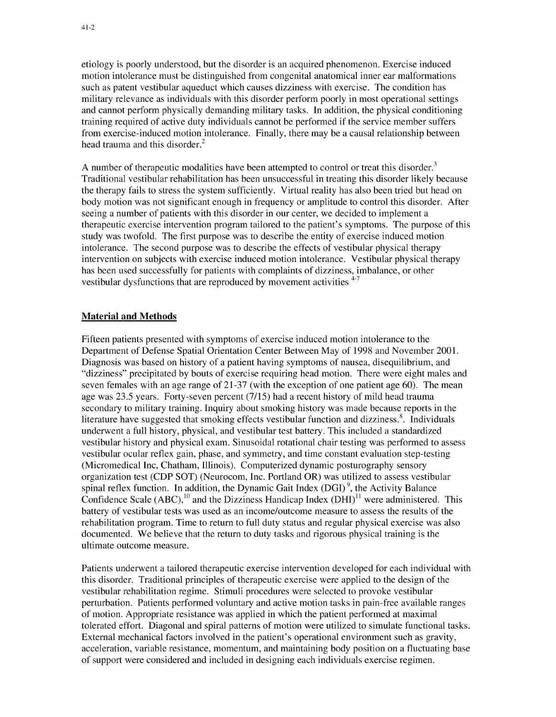etiology is poorly understood, but the disorder is an acquired phenomenon. Exercise induced motion intolerance must be distinguished from congenital anatomical inner ear malformations such as patent vestibular aqueduct which causes dizziness with exercise. The condition has military relevance as individuals with this disorder perform poorly in most operational settings and cannot perform physically demanding military tasks. In addition, the physical conditioning training required of active duty individuals cannot be performed if the service member suffers from exercise-induced motion intolerance. Finally, there may be a causal relationship between head trauma and this disorder.<sup>2</sup>

A number of therapeutic modalities have been attempted to control or treat this disorder.<sup>3</sup> Traditional vestibular rehabilitation has been unsuccessful in treating this disorder likely because the therapy fails to stress the system sufficiently. Virtual reality has also been tried but head on body motion was not significant enough in frequency or amplitude to control this disorder. After seeing a number of patients with this disorder in our center, we decided to implement a therapeutic exercise intervention program tailored to the patient's symptoms. The purpose of this study was twofold. The first purpose was to describe the entity of exercise induced motion intolerance. The second purpose was to describe the effects of vestibular physical therapy intervention on subjects with exercise induced motion intolerance. Vestibular physical therapy has been used successfully for patients with complaints of dizziness, imbalance, or other vestibular dysfunctions that are reproduced by movement activities  $4-7$ 

#### Material and Methods

Fifteen patients presented with symptoms of exercise induced motion intolerance to the Department of Defense Spatial Orientation Center Between May of 1998 and November 2001. Diagnosis was based on history of a patient having symptoms of nausea, disequilibrium, and "dizziness" precipitated by bouts of exercise requiring head motion. There were eight males and seven females with an age range of 21-37 (with the exception of one patient age 60). The mean age was 23.5 years. Forty-seven percent (7/15) had a recent history of mild head trauma secondary to military training. Inquiry about smoking history was made because reports in the literature have suggested that smoking effects vestibular function and dizziness.<sup>8</sup>. Individuals underwent a full history, physical, and vestibular test battery. This included a standardized vestibular history and physical exam. Sinusoidal rotational chair testing was performed to assess vestibular ocular reflex gain, phase, and symmetry, and time constant evaluation step-testing (Micromedical Inc, Chatham, Illinois). Computerized dynamic posturography sensory organization test (CDP SOT) (Neurocom, Inc. Portland OR) was utilized to assess vestibular spinal reflex function. In addition, the Dynamic Gait Index (DGI) **9,** the Activity Balance Confidence Scale (ABC),  $^{10}$  and the Dizziness Handicap Index (DHI)<sup>11</sup> were administered. This battery of vestibular tests was used as an income/outcome measure to assess the results of the rehabilitation program. Time to return to full duty status and regular physical exercise was also documented. We believe that the return to duty tasks and rigorous physical training is the ultimate outcome measure.

Patients underwent a tailored therapeutic exercise intervention developed for each individual with this disorder. Traditional principles of therapeutic exercise were applied to the design of the vestibular rehabilitation regime. Stimuli procedures were selected to provoke vestibular perturbation. Patients performed voluntary and active motion tasks in pain-free available ranges of motion. Appropriate resistance was applied in which the patient performed at maximal tolerated effort. Diagonal and spiral patterns of motion were utilized to simulate functional tasks. External mechanical factors involved in the patient's operational environment such as gravity, acceleration, variable resistance, momentum, and maintaining body position on a fluctuating base of support were considered and included in designing each individuals exercise regimen.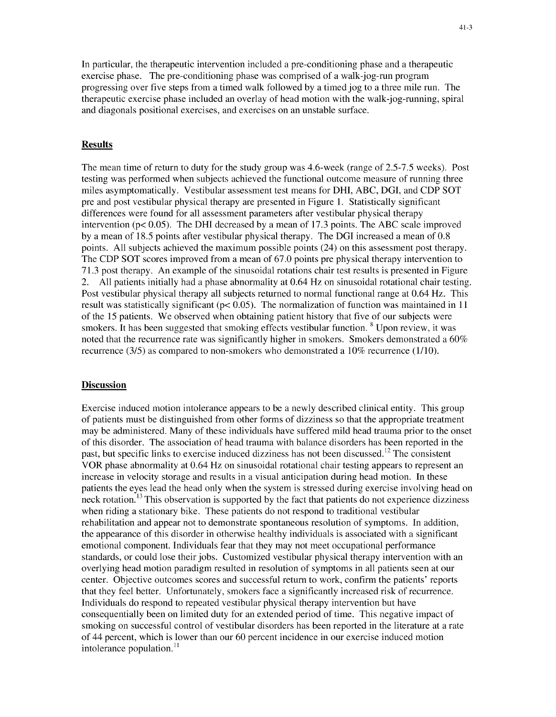In particular, the therapeutic intervention included a pre-conditioning phase and a therapeutic exercise phase. The pre-conditioning phase was comprised of a walk-jog-run program progressing over five steps from a timed walk followed by a timed jog to a three mile run. The therapeutic exercise phase included an overlay of head motion with the walk-jog-running, spiral and diagonals positional exercises, and exercises on an unstable surface.

#### Results

The mean time of return to duty for the study group was 4.6-week (range of 2.5-7.5 weeks). Post testing was performed when subjects achieved the functional outcome measure of running three miles asymptomatically. Vestibular assessment test means for DHI, ABC, DGI, and CDP SOT pre and post vestibular physical therapy are presented in Figure 1. Statistically significant differences were found for all assessment parameters after vestibular physical therapy intervention ( $p < 0.05$ ). The DHI decreased by a mean of 17.3 points. The ABC scale improved by a mean of 18.5 points after vestibular physical therapy. The DGI increased a mean of 0.8 points. All subjects achieved the maximum possible points (24) on this assessment post therapy. The CDP SOT scores improved from a mean of 67.0 points pre physical therapy intervention to 71.3 post therapy. An example of the sinusoidal rotations chair test results is presented in Figure 2. All patients initially had a phase abnormality at 0.64 Hz on sinusoidal rotational chair testing. Post vestibular physical therapy all subjects returned to normal functional range at 0.64 Hz. This result was statistically significant ( $p< 0.05$ ). The normalization of function was maintained in 11 of the 15 patients. We observed when obtaining patient history that five of our subjects were smokers. It has been suggested that smoking effects vestibular function. **8** Upon review, it was noted that the recurrence rate was significantly higher in smokers. Smokers demonstrated a 60% recurrence (3/5) as compared to non-smokers who demonstrated a 10% recurrence (1/10).

#### **Discussion**

Exercise induced motion intolerance appears to be a newly described clinical entity. This group of patients must be distinguished from other forms of dizziness so that the appropriate treatment may be administered. Many of these individuals have suffered mild head trauma prior to the onset of this disorder. The association of head trauma with balance disorders has been reported in the past, but specific links to exercise induced dizziness has not been discussed.<sup>12</sup> The consistent VOR phase abnormality at 0.64 Hz on sinusoidal rotational chair testing appears to represent an increase in velocity storage and results in a visual anticipation during head motion. In these patients the eyes lead the head only when the system is stressed during exercise involving head on neck rotation.<sup>13</sup> This observation is supported by the fact that patients do not experience dizziness when riding a stationary bike. These patients do not respond to traditional vestibular rehabilitation and appear not to demonstrate spontaneous resolution of symptoms. In addition, the appearance of this disorder in otherwise healthy individuals is associated with a significant emotional component. Individuals fear that they may not meet occupational performance standards, or could lose their jobs. Customized vestibular physical therapy intervention with an overlying head motion paradigm resulted in resolution of symptoms in all patients seen at our center. Objective outcomes scores and successful return to work, confirm the patients' reports that they feel better. Unfortunately, smokers face a significantly increased risk of recurrence. Individuals do respond to repeated vestibular physical therapy intervention but have consequentially been on limited duty for an extended period of time. This negative impact of smoking on successful control of vestibular disorders has been reported in the literature at a rate of 44 percent, which is lower than our 60 percent incidence in our exercise induced motion intolerance population. $^{11}$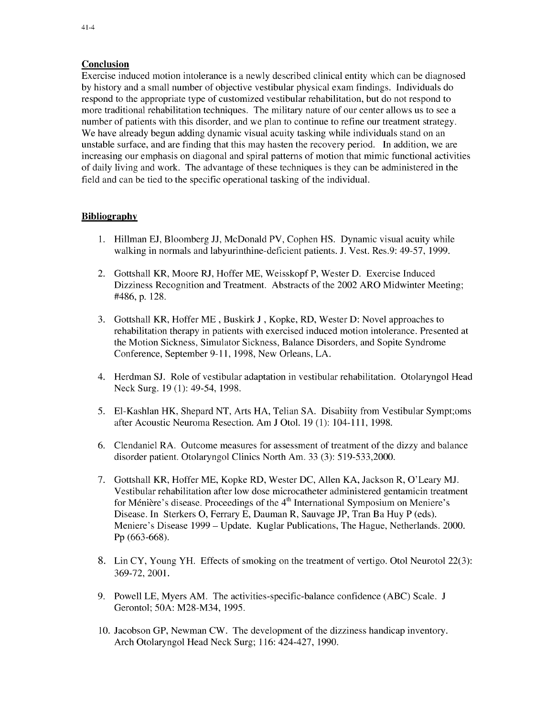#### Conclusion

Exercise induced motion intolerance is a newly described clinical entity which can be diagnosed by history and a small number of objective vestibular physical exam findings. Individuals do respond to the appropriate type of customized vestibular rehabilitation, but do not respond to more traditional rehabilitation techniques. The military nature of our center allows us to see a number of patients with this disorder, and we plan to continue to refine our treatment strategy. We have already begun adding dynamic visual acuity tasking while individuals stand on an unstable surface, and are finding that this may hasten the recovery period. In addition, we are increasing our emphasis on diagonal and spiral patterns of motion that mimic functional activities of daily living and work. The advantage of these techniques is they can be administered in the field and can be tied to the specific operational tasking of the individual.

#### **Bibliography**

- 1. Hillman EJ, Bloomberg JJ, McDonald PV, Cophen HS. Dynamic visual acuity while walking in normals and labyurinthine-deficient patients. J. Vest. Res.9: 49-57, 1999.
- 2. Gottshall KR, Moore RJ, Hoffer ME, Weisskopf P, Wester D. Exercise Induced Dizziness Recognition and Treatment. Abstracts of the 2002 ARO Midwinter Meeting; #486, p. 128.
- 3. Gottshall KR, Hoffer ME , Buskirk J , Kopke, RD, Wester D: Novel approaches to rehabilitation therapy in patients with exercised induced motion intolerance. Presented at the Motion Sickness, Simulator Sickness, Balance Disorders, and Sopite Syndrome Conference, September 9-11, 1998, New Orleans, LA.
- 4. Herdman SJ. Role of vestibular adaptation in vestibular rehabilitation. Otolaryngol Head Neck Surg. 19 (1): 49-54, 1998.
- *5.* El-Kashlan HK, Shepard NT, Arts HA, Telian SA. Disabiity from Vestibular Sympt;oms after Acoustic Neuroma Resection. Am J Otol. 19 (1): 104-111, 1998.
- 6. Clendaniel RA. Outcome measures for assessment of treatment of the dizzy and balance disorder patient. Otolaryngol Clinics North Am. 33 (3): 519-533,2000.
- 7. Gottshall KR, Hoffer ME, Kopke RD, Wester DC, Allen KA, Jackson R, O'Leary MJ. Vestibular rehabilitation after low dose microcatheter administered gentamicin treatment for Ménière's disease. Proceedings of the 4<sup>th</sup> International Symposium on Meniere's Disease. In Sterkers **0,** Ferrary E, Dauman R, Sauvage JP, Tran Ba Huy P (eds). Meniere's Disease 1999 - Update. Kuglar Publications, The Hague, Netherlands. 2000. Pp (663-668).
- 8. Lin CY, Young YH. Effects of smoking on the treatment of vertigo. Otol Neurotol 22(3): 369-72, 2001.
- 9. Powell LE, Myers AM. The activities-specific-balance confidence (ABC) Scale. J Gerontol; 50A: M28-M34, 1995.
- 10. Jacobson GP, Newman CW. The development of the dizziness handicap inventory. Arch Otolaryngol Head Neck Surg; 116: 424-427, 1990.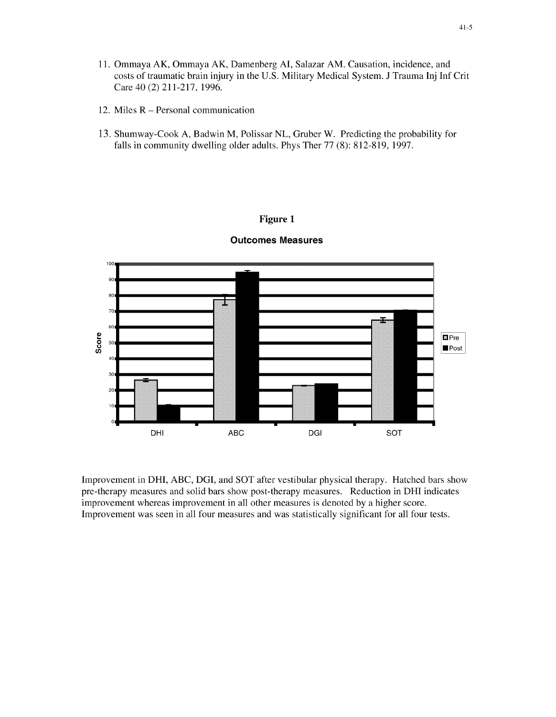- 11. Ommaya AK, Ommaya AK, Damenberg **Al,** Salazar AM. Causation, incidence, and costs of traumatic brain injury in the U.S. Military Medical System. J Trauma Inj Inf Crit Care 40 (2) 211-217, 1996.
- 12. Miles R Personal communication
- 13. Shumway-Cook A, Badwin M, Polissar NL, Gruber W. Predicting the probability for falls in community dwelling older adults. Phys Ther 77 (8): 812-819, 1997.

#### Figure **1**



#### Outcomes Measures

Improvement in DHI, ABC, DGI, and SOT after vestibular physical therapy. Hatched bars show pre-therapy measures and solid bars show post-therapy measures. Reduction in DHI indicates improvement whereas improvement in all other measures is denoted by a higher score. Improvement was seen in all four measures and was statistically significant for all four tests.